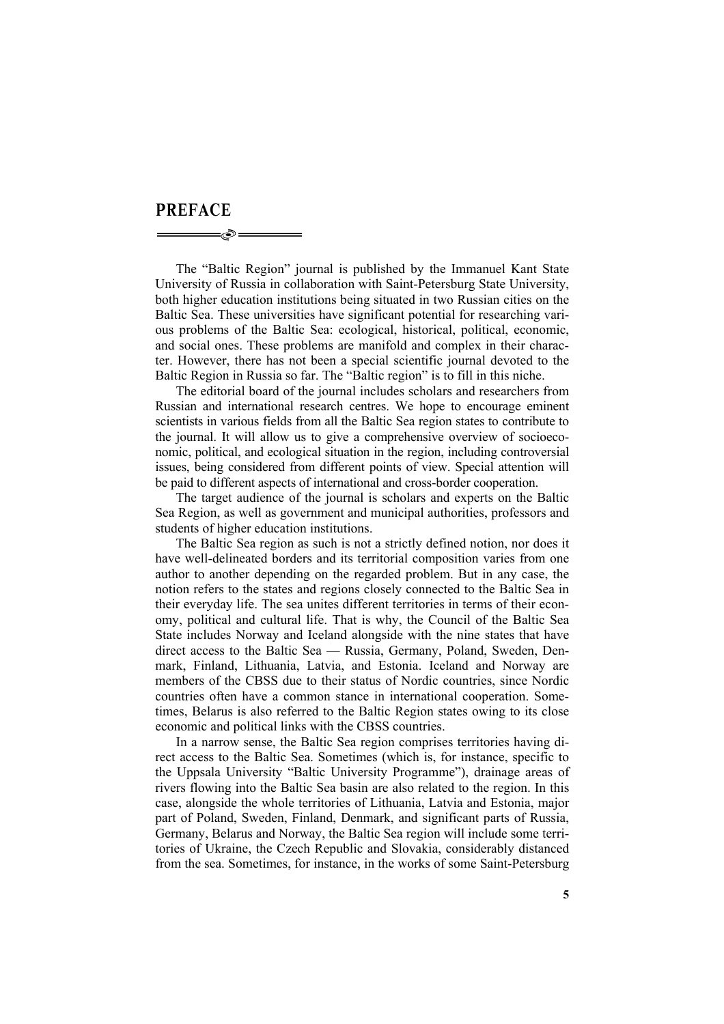## PREFACE

<u> ම =</u>

The "Baltic Region" journal is published by the Immanuel Kant State University of Russia in collaboration with Saint-Petersburg State University, both higher education institutions being situated in two Russian cities on the Baltic Sea. These universities have significant potential for researching various problems of the Baltic Sea: ecological, historical, political, economic, and social ones. These problems are manifold and complex in their character. However, there has not been a special scientific journal devoted to the Baltic Region in Russia so far. The "Baltic region" is to fill in this niche.

The editorial board of the journal includes scholars and researchers from Russian and international research centres. We hope to encourage eminent scientists in various fields from all the Baltic Sea region states to contribute to the journal. It will allow us to give a comprehensive overview of socioeconomic, political, and ecological situation in the region, including controversial issues, being considered from different points of view. Special attention will be paid to different aspects of international and cross-border cooperation.

The target audience of the journal is scholars and experts on the Baltic Sea Region, as well as government and municipal authorities, professors and students of higher education institutions.

The Baltic Sea region as such is not a strictly defined notion, nor does it have well-delineated borders and its territorial composition varies from one author to another depending on the regarded problem. But in any case, the notion refers to the states and regions closely connected to the Baltic Sea in their everyday life. The sea unites different territories in terms of their economy, political and cultural life. That is why, the Council of the Baltic Sea State includes Norway and Iceland alongside with the nine states that have direct access to the Baltic Sea — Russia, Germany, Poland, Sweden, Denmark, Finland, Lithuania, Latvia, and Estonia. Iceland and Norway are members of the CBSS due to their status of Nordic countries, since Nordic countries often have a common stance in international cooperation. Sometimes, Belarus is also referred to the Baltic Region states owing to its close economic and political links with the CBSS countries.

In a narrow sense, the Baltic Sea region comprises territories having direct access to the Baltic Sea. Sometimes (which is, for instance, specific to the Uppsala University "Baltic University Programme"), drainage areas of rivers flowing into the Baltic Sea basin are also related to the region. In this case, alongside the whole territories of Lithuania, Latvia and Estonia, major part of Poland, Sweden, Finland, Denmark, and significant parts of Russia, Germany, Belarus and Norway, the Baltic Sea region will include some territories of Ukraine, the Czech Republic and Slovakia, considerably distanced from the sea. Sometimes, for instance, in the works of some Saint-Petersburg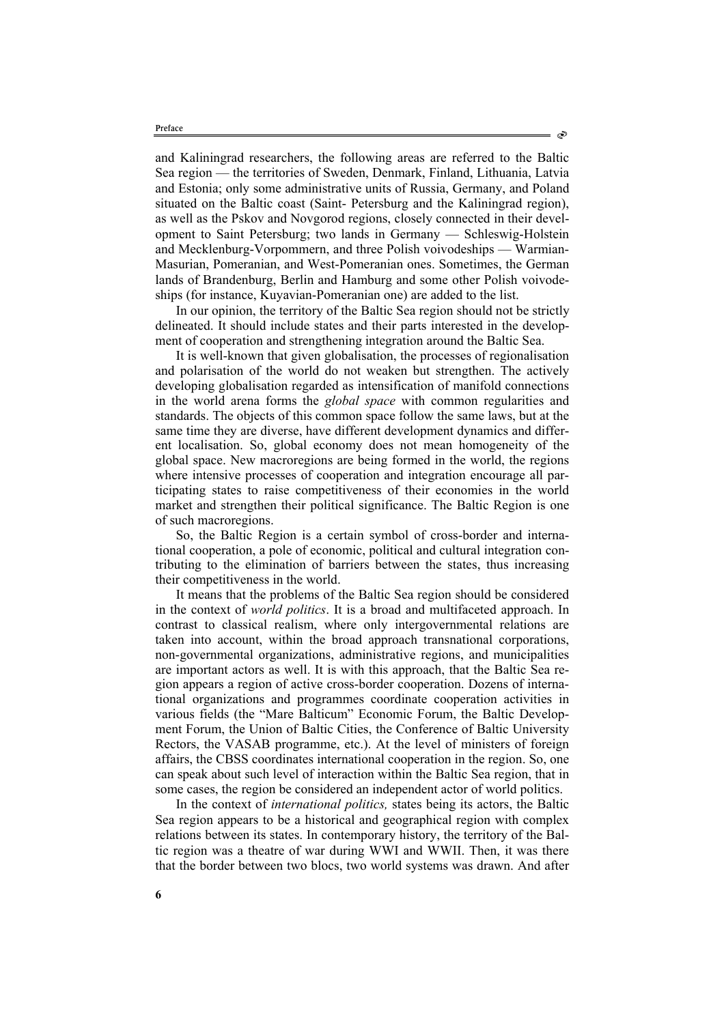and Kaliningrad researchers, the following areas are referred to the Baltic Sea region — the territories of Sweden, Denmark, Finland, Lithuania, Latvia and Estonia; only some administrative units of Russia, Germany, and Poland situated on the Baltic coast (Saint- Petersburg and the Kaliningrad region), as well as the Pskov and Novgorod regions, closely connected in their development to Saint Petersburg; two lands in Germany — Schleswig-Holstein and Mecklenburg-Vorpommern, and three Polish voivodeships — Warmian-Masurian, Pomeranian, and West-Pomeranian ones. Sometimes, the German lands of Brandenburg, Berlin and Hamburg and some other Polish voivodeships (for instance, Kuyavian-Pomeranian one) are added to the list.

In our opinion, the territory of the Baltic Sea region should not be strictly delineated. It should include states and their parts interested in the development of cooperation and strengthening integration around the Baltic Sea.

It is well-known that given globalisation, the processes of regionalisation and polarisation of the world do not weaken but strengthen. The actively developing globalisation regarded as intensification of manifold connections in the world arena forms the *global space* with common regularities and standards. The objects of this common space follow the same laws, but at the same time they are diverse, have different development dynamics and different localisation. So, global economy does not mean homogeneity of the global space. New macroregions are being formed in the world, the regions where intensive processes of cooperation and integration encourage all participating states to raise competitiveness of their economies in the world market and strengthen their political significance. The Baltic Region is one of such macroregions.

So, the Baltic Region is a certain symbol of cross-border and international cooperation, a pole of economic, political and cultural integration contributing to the elimination of barriers between the states, thus increasing their competitiveness in the world.

It means that the problems of the Baltic Sea region should be considered in the context of *world politics*. It is a broad and multifaceted approach. In contrast to classical realism, where only intergovernmental relations are taken into account, within the broad approach transnational corporations, non-governmental organizations, administrative regions, and municipalities are important actors as well. It is with this approach, that the Baltic Sea region appears a region of active cross-border cooperation. Dozens of international organizations and programmes coordinate cooperation activities in various fields (the "Mare Balticum" Economic Forum, the Baltic Development Forum, the Union of Baltic Cities, the Conference of Baltic University Rectors, the VASAB programme, etc.). At the level of ministers of foreign affairs, the CBSS coordinates international cooperation in the region. So, one can speak about such level of interaction within the Baltic Sea region, that in some cases, the region be considered an independent actor of world politics.

In the context of *international politics,* states being its actors, the Baltic Sea region appears to be a historical and geographical region with complex relations between its states. In contemporary history, the territory of the Baltic region was a theatre of war during WWI and WWII. Then, it was there that the border between two blocs, two world systems was drawn. And after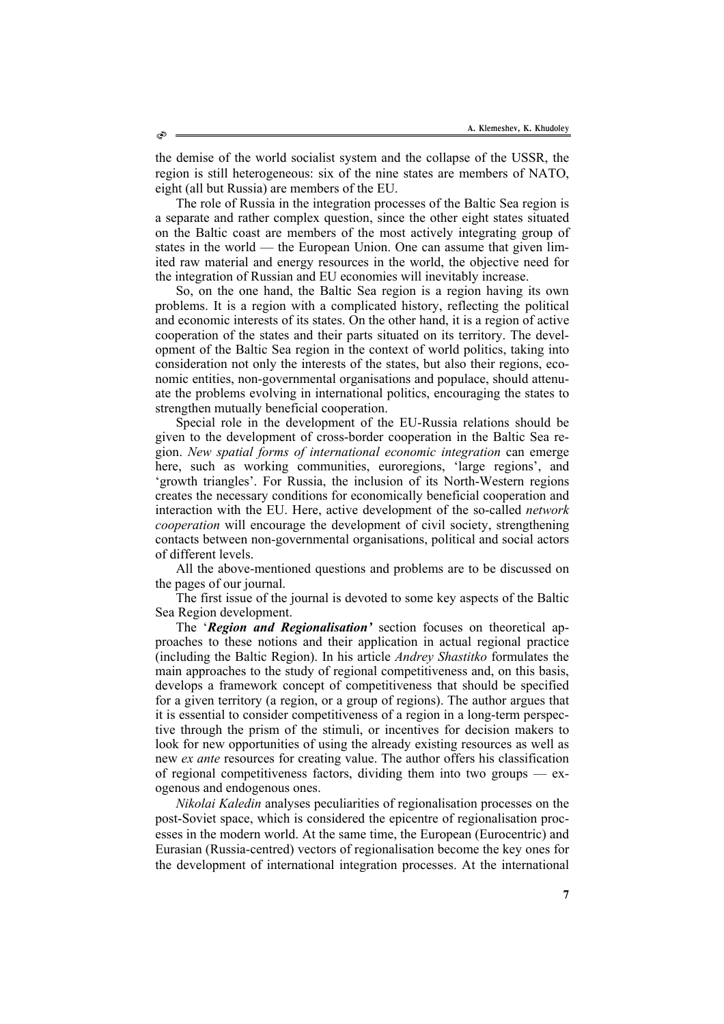the demise of the world socialist system and the collapse of the USSR, the region is still heterogeneous: six of the nine states are members of NATO, eight (all but Russia) are members of the EU.

The role of Russia in the integration processes of the Baltic Sea region is a separate and rather complex question, since the other eight states situated on the Baltic coast are members of the most actively integrating group of states in the world — the European Union. One can assume that given limited raw material and energy resources in the world, the objective need for the integration of Russian and EU economies will inevitably increase.

So, on the one hand, the Baltic Sea region is a region having its own problems. It is a region with a complicated history, reflecting the political and economic interests of its states. On the other hand, it is a region of active cooperation of the states and their parts situated on its territory. The development of the Baltic Sea region in the context of world politics, taking into consideration not only the interests of the states, but also their regions, economic entities, non-governmental organisations and populace, should attenuate the problems evolving in international politics, encouraging the states to strengthen mutually beneficial cooperation.

Special role in the development of the EU-Russia relations should be given to the development of cross-border cooperation in the Baltic Sea region. *New spatial forms of international economic integration* can emerge here, such as working communities, euroregions, 'large regions', and 'growth triangles'. For Russia, the inclusion of its North-Western regions creates the necessary conditions for economically beneficial cooperation and interaction with the EU. Here, active development of the so-called *network cooperation* will encourage the development of civil society, strengthening contacts between non-governmental organisations, political and social actors of different levels.

All the above-mentioned questions and problems are to be discussed on the pages of our journal.

The first issue of the journal is devoted to some key aspects of the Baltic Sea Region development.

The '*Region and Regionalisation'* section focuses on theoretical approaches to these notions and their application in actual regional practice (including the Baltic Region). In his article *Andrey Shastitko* formulates the main approaches to the study of regional competitiveness and, on this basis, develops a framework concept of competitiveness that should be specified for a given territory (a region, or a group of regions). The author argues that it is essential to consider competitiveness of a region in a long-term perspective through the prism of the stimuli, or incentives for decision makers to look for new opportunities of using the already existing resources as well as new *ex ante* resources for creating value. The author offers his classification of regional competitiveness factors, dividing them into two groups — exogenous and endogenous ones.

*Nikolai Kaledin* analyses peculiarities of regionalisation processes on the post-Soviet space, which is considered the epicentre of regionalisation processes in the modern world. At the same time, the European (Eurocentric) and Eurasian (Russia-centred) vectors of regionalisation become the key ones for the development of international integration processes. At the international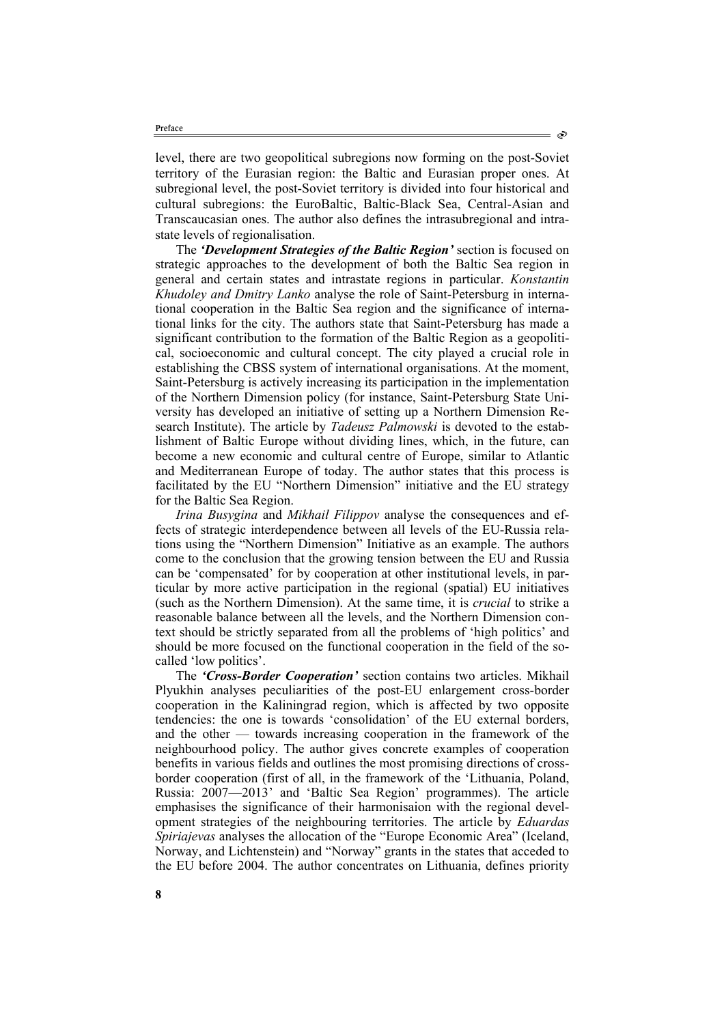level, there are two geopolitical subregions now forming on the post-Soviet territory of the Eurasian region: the Baltic and Eurasian proper ones. At subregional level, the post-Soviet territory is divided into four historical and cultural subregions: the EuroBaltic, Baltic-Black Sea, Central-Asian and Transcaucasian ones. The author also defines the intrasubregional and intrastate levels of regionalisation.

The *'Development Strategies of the Baltic Region'* section is focused on strategic approaches to the development of both the Baltic Sea region in general and certain states and intrastate regions in particular. *Konstantin Khudoley and Dmitry Lanko* analyse the role of Saint-Petersburg in international cooperation in the Baltic Sea region and the significance of international links for the city. The authors state that Saint-Petersburg has made a significant contribution to the formation of the Baltic Region as a geopolitical, socioeconomic and cultural concept. The city played a crucial role in establishing the CBSS system of international organisations. At the moment, Saint-Petersburg is actively increasing its participation in the implementation of the Northern Dimension policy (for instance, Saint-Petersburg State University has developed an initiative of setting up a Northern Dimension Research Institute). The article by *Tadeusz Palmowski* is devoted to the establishment of Baltic Europe without dividing lines, which, in the future, can become a new economic and cultural centre of Europe, similar to Atlantic and Mediterranean Europe of today. The author states that this process is facilitated by the EU "Northern Dimension" initiative and the EU strategy for the Baltic Sea Region.

*Irina Busygina* and *Mikhail Filippov* analyse the consequences and effects of strategic interdependence between all levels of the EU-Russia relations using the "Northern Dimension" Initiative as an example. The authors come to the conclusion that the growing tension between the EU and Russia can be 'compensated' for by cooperation at other institutional levels, in particular by more active participation in the regional (spatial) EU initiatives (such as the Northern Dimension). At the same time, it is *crucial* to strike a reasonable balance between all the levels, and the Northern Dimension context should be strictly separated from all the problems of 'high politics' and should be more focused on the functional cooperation in the field of the socalled 'low politics'.

The *'Cross-Border Cooperation'* section contains two articles. Mikhail Plyukhin analyses peculiarities of the post-EU enlargement cross-border cooperation in the Kaliningrad region, which is affected by two opposite tendencies: the one is towards 'consolidation' of the EU external borders, and the other — towards increasing cooperation in the framework of the neighbourhood policy. The author gives concrete examples of cooperation benefits in various fields and outlines the most promising directions of crossborder cooperation (first of all, in the framework of the 'Lithuania, Poland, Russia: 2007—2013' and 'Baltic Sea Region' programmes). The article emphasises the significance of their harmonisaion with the regional development strategies of the neighbouring territories. The article by *Eduardas Spiriajevas* analyses the allocation of the "Europe Economic Area" (Iceland, Norway, and Lichtenstein) and "Norway" grants in the states that acceded to the EU before 2004. The author concentrates on Lithuania, defines priority